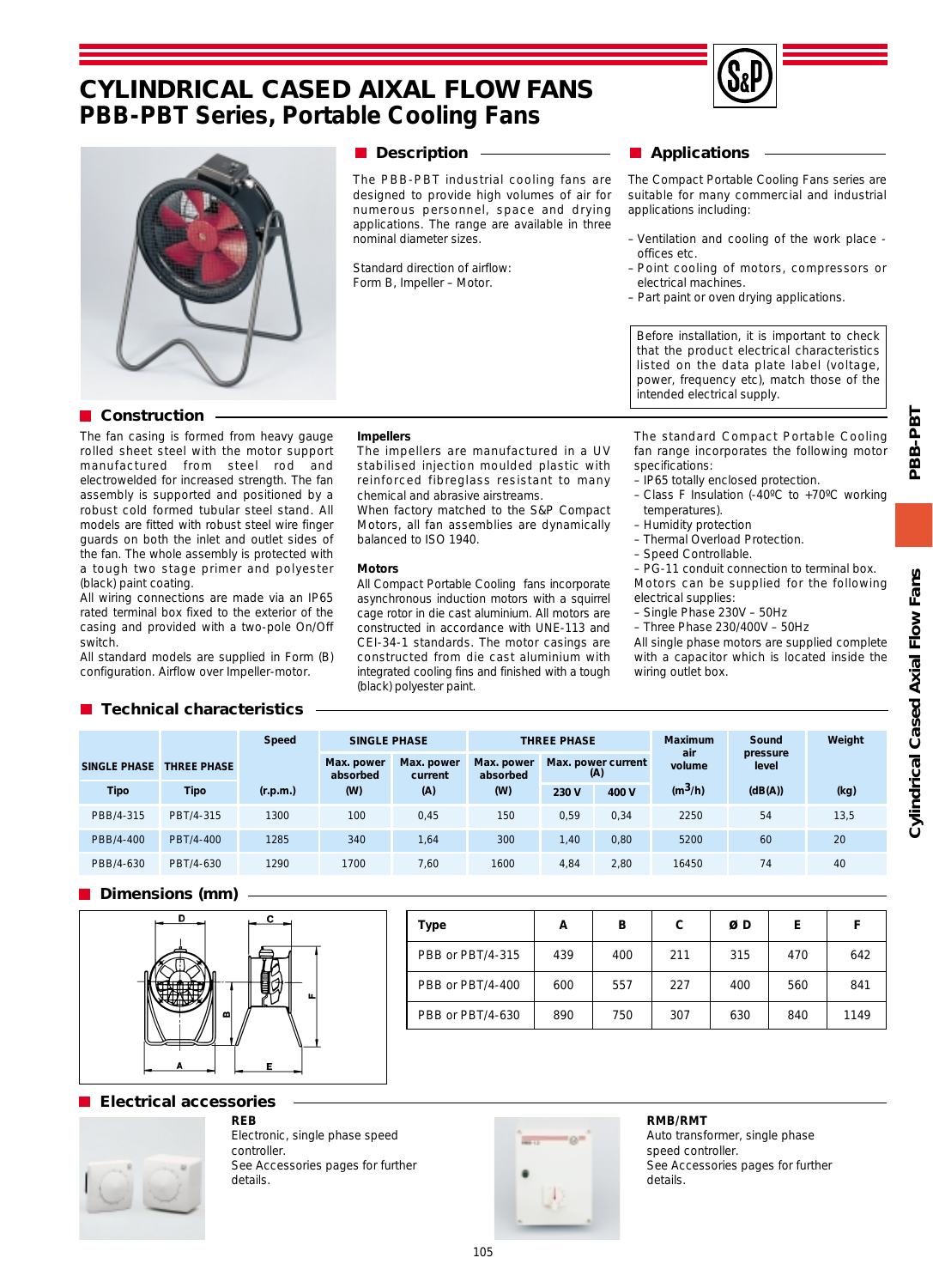# **CYLINDRICAL CASED AIXAL FLOW FANS PBB-PBT Series, Portable Cooling Fans**





## **Description**

The PBB-PBT industrial cooling fans are designed to provide high volumes of air for numerous personnel, space and drying applications. The range are available in three nominal diameter sizes.

Standard direction of airflow: Form B, Impeller – Motor.

# **Applications**

The Compact Portable Cooling Fans series are suitable for many commercial and industrial applications including:

- Ventilation and cooling of the work place offices etc.
- Point cooling of motors, compressors or electrical machines.
- Part paint or oven drying applications.

Before installation, it is important to check that the product electrical characteristics listed on the data plate label (voltage, power, frequency etc), match those of the intended electrical supply.

## **Construction**

The fan casing is formed from heavy gauge rolled sheet steel with the motor support manufactured from steel rod and electrowelded for increased strength. The fan assembly is supported and positioned by a robust cold formed tubular steel stand. All models are fitted with robust steel wire finger guards on both the inlet and outlet sides of the fan. The whole assembly is protected with a tough two stage primer and polyester (black) paint coating.

All wiring connections are made via an IP65 rated terminal box fixed to the exterior of the casing and provided with a two-pole On/Off switch.

All standard models are supplied in Form (B) configuration. Airflow over Impeller-motor.

#### **Impellers**

The impellers are manufactured in a UV stabilised injection moulded plastic with reinforced fibreglass resistant to many chemical and abrasive airstreams.

When factory matched to the S&P Compact Motors, all fan assemblies are dynamically balanced to ISO 1940.

#### **Motors**

All Compact Portable Cooling fans incorporate asynchronous induction motors with a squirrel cage rotor in die cast aluminium. All motors are constructed in accordance with UNE-113 and CEI-34-1 standards. The motor casings are constructed from die cast aluminium with integrated cooling fins and finished with a tough (black) polyester paint.

The standard Compact Portable Cooling fan range incorporates the following motor specifications:

- IP65 totally enclosed protection. – Class F Insulation (-40ºC to +70ºC working temperatures).
- Humidity protection
- Thermal Overload Protection.
- Speed Controllable.
- 

– PG-11 conduit connection to terminal box. Motors can be supplied for the following electrical supplies:

- Single Phase 230V 50Hz
- Three Phase 230/400V 50Hz

All single phase motors are supplied complete with a capacitor which is located inside the wiring outlet box.

## **Technical characteristics**

|              |                    | <b>Speed</b> | <b>SINGLE PHASE</b>    |                       | <b>THREE PHASE</b>     |                           |       | <b>Maximum</b> | Sound             | Weight |
|--------------|--------------------|--------------|------------------------|-----------------------|------------------------|---------------------------|-------|----------------|-------------------|--------|
| SINGLE PHASE | <b>THREE PHASE</b> |              | Max. power<br>absorbed | Max. power<br>current | Max. power<br>absorbed | Max. power current<br>(A) |       | air<br>volume  | pressure<br>level |        |
| <b>Tipo</b>  | Tipo               | (r.p.m.)     | (W)                    | (A)                   | (W)                    | 230 V                     | 400 V | $(m^3/h)$      | (dB(A))           | (kg)   |
| PBB/4-315    | PBT/4-315          | 1300         | 100                    | 0,45                  | 150                    | 0,59                      | 0,34  | 2250           | 54                | 13,5   |
| PBB/4-400    | PBT/4-400          | 1285         | 340                    | 1,64                  | 300                    | 1,40                      | 0,80  | 5200           | 60                | 20     |
| PBB/4-630    | PBT/4-630          | 1290         | 1700                   | 7.60                  | 1600                   | 4,84                      | 2,80  | 16450          | 74                | 40     |

## **Dimensions (mm)**



| Type             | А   | в   | C   | ØΒ  | E.  |      |
|------------------|-----|-----|-----|-----|-----|------|
| PBB or PBT/4-315 | 439 | 400 | 211 | 315 | 470 | 642  |
| PBB or PBT/4-400 | 600 | 557 | 227 | 400 | 560 | 841  |
| PBB or PBT/4-630 | 890 | 750 | 307 | 630 | 840 | 1149 |

## **Electrical accessories**



**REB** Electronic, single phase speed controller. See Accessories pages for further details.



#### **RMB/RMT**

Auto transformer, single phase speed controller. See Accessories pages for further details.

PBB-PBT